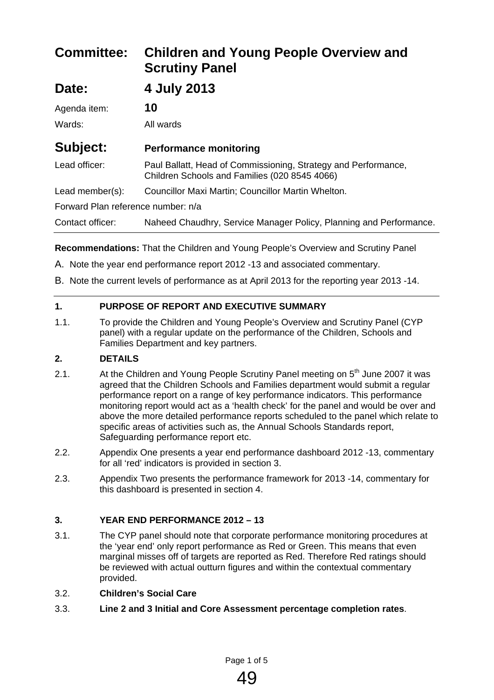| <b>Committee:</b>                  | <b>Children and Young People Overview and</b><br><b>Scrutiny Panel</b>                                          |
|------------------------------------|-----------------------------------------------------------------------------------------------------------------|
| Date:                              | 4 July 2013                                                                                                     |
| Agenda item:                       | 10                                                                                                              |
| Wards:                             | All wards                                                                                                       |
| Subject:                           | <b>Performance monitoring</b>                                                                                   |
| Lead officer:                      | Paul Ballatt, Head of Commissioning, Strategy and Performance,<br>Children Schools and Families (020 8545 4066) |
| Lead member(s):                    | Councillor Maxi Martin; Councillor Martin Whelton.                                                              |
| Forward Plan reference number: n/a |                                                                                                                 |
| Contact officer:                   | Naheed Chaudhry, Service Manager Policy, Planning and Performance.                                              |

**Recommendations:** That the Children and Young People's Overview and Scrutiny Panel

- A. Note the year end performance report 2012 -13 and associated commentary.
- B. Note the current levels of performance as at April 2013 for the reporting year 2013 -14.

# **1. PURPOSE OF REPORT AND EXECUTIVE SUMMARY**

1.1. To provide the Children and Young People's Overview and Scrutiny Panel (CYP panel) with a regular update on the performance of the Children, Schools and Families Department and key partners.

# **2. DETAILS**

- 2.1. At the Children and Young People Scrutiny Panel meeting on 5<sup>th</sup> June 2007 it was agreed that the Children Schools and Families department would submit a regular performance report on a range of key performance indicators. This performance monitoring report would act as a 'health check' for the panel and would be over and above the more detailed performance reports scheduled to the panel which relate to specific areas of activities such as, the Annual Schools Standards report, Safeguarding performance report etc.
- 2.2. Appendix One presents a year end performance dashboard 2012 -13, commentary for all 'red' indicators is provided in section 3.
- 2.3. Appendix Two presents the performance framework for 2013 -14, commentary for this dashboard is presented in section 4.

# **3. YEAR END PERFORMANCE 2012 – 13**

3.1. The CYP panel should note that corporate performance monitoring procedures at the 'year end' only report performance as Red or Green. This means that even marginal misses off of targets are reported as Red. Therefore Red ratings should be reviewed with actual outturn figures and within the contextual commentary provided.

## 3.2. **Children's Social Care**

3.3. **Line 2 and 3 Initial and Core Assessment percentage completion rates**.

49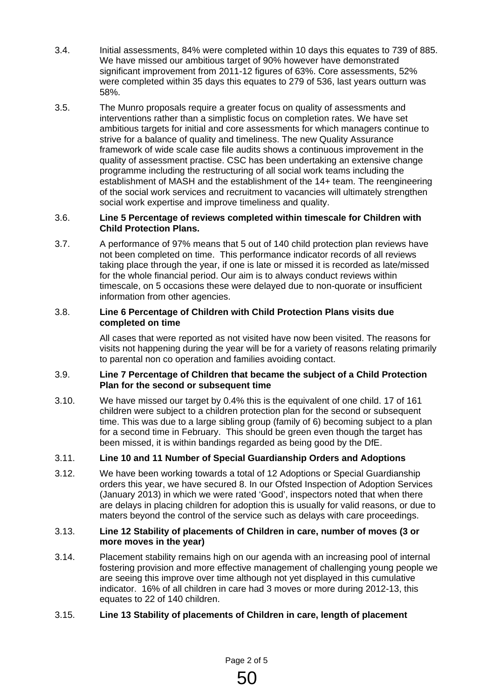- 3.4. Initial assessments, 84% were completed within 10 days this equates to 739 of 885. We have missed our ambitious target of 90% however have demonstrated significant improvement from 2011-12 figures of 63%. Core assessments, 52% were completed within 35 days this equates to 279 of 536, last years outturn was 58%.
- 3.5. The Munro proposals require a greater focus on quality of assessments and interventions rather than a simplistic focus on completion rates. We have set ambitious targets for initial and core assessments for which managers continue to strive for a balance of quality and timeliness. The new Quality Assurance framework of wide scale case file audits shows a continuous improvement in the quality of assessment practise. CSC has been undertaking an extensive change programme including the restructuring of all social work teams including the establishment of MASH and the establishment of the 14+ team. The reengineering of the social work services and recruitment to vacancies will ultimately strengthen social work expertise and improve timeliness and quality.

#### 3.6. **Line 5 Percentage of reviews completed within timescale for Children with Child Protection Plans.**

3.7. A performance of 97% means that 5 out of 140 child protection plan reviews have not been completed on time. This performance indicator records of all reviews taking place through the year, if one is late or missed it is recorded as late/missed for the whole financial period. Our aim is to always conduct reviews within timescale, on 5 occasions these were delayed due to non-quorate or insufficient information from other agencies.

#### 3.8. **Line 6 Percentage of Children with Child Protection Plans visits due completed on time**

All cases that were reported as not visited have now been visited. The reasons for visits not happening during the year will be for a variety of reasons relating primarily to parental non co operation and families avoiding contact.

## 3.9. **Line 7 Percentage of Children that became the subject of a Child Protection Plan for the second or subsequent time**

3.10. We have missed our target by 0.4% this is the equivalent of one child. 17 of 161 children were subject to a children protection plan for the second or subsequent time. This was due to a large sibling group (family of 6) becoming subject to a plan for a second time in February. This should be green even though the target has been missed, it is within bandings regarded as being good by the DfE.

## 3.11. **Line 10 and 11 Number of Special Guardianship Orders and Adoptions**

3.12. We have been working towards a total of 12 Adoptions or Special Guardianship orders this year, we have secured 8. In our Ofsted Inspection of Adoption Services (January 2013) in which we were rated 'Good', inspectors noted that when there are delays in placing children for adoption this is usually for valid reasons, or due to maters beyond the control of the service such as delays with care proceedings.

## 3.13. **Line 12 Stability of placements of Children in care, number of moves (3 or more moves in the year)**

3.14. Placement stability remains high on our agenda with an increasing pool of internal fostering provision and more effective management of challenging young people we are seeing this improve over time although not yet displayed in this cumulative indicator. 16% of all children in care had 3 moves or more during 2012-13, this equates to 22 of 140 children.

## 3.15. **Line 13 Stability of placements of Children in care, length of placement**

50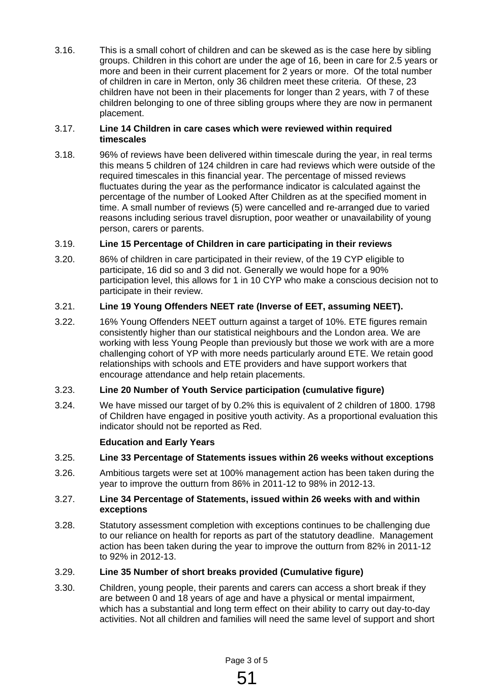3.16. This is a small cohort of children and can be skewed as is the case here by sibling groups. Children in this cohort are under the age of 16, been in care for 2.5 years or more and been in their current placement for 2 years or more. Of the total number of children in care in Merton, only 36 children meet these criteria. Of these, 23 children have not been in their placements for longer than 2 years, with 7 of these children belonging to one of three sibling groups where they are now in permanent placement.

## 3.17. **Line 14 Children in care cases which were reviewed within required timescales**

3.18. 96% of reviews have been delivered within timescale during the year, in real terms this means 5 children of 124 children in care had reviews which were outside of the required timescales in this financial year. The percentage of missed reviews fluctuates during the year as the performance indicator is calculated against the percentage of the number of Looked After Children as at the specified moment in time. A small number of reviews (5) were cancelled and re-arranged due to varied reasons including serious travel disruption, poor weather or unavailability of young person, carers or parents.

## 3.19. **Line 15 Percentage of Children in care participating in their reviews**

3.20. 86% of children in care participated in their review, of the 19 CYP eligible to participate, 16 did so and 3 did not. Generally we would hope for a 90% participation level, this allows for 1 in 10 CYP who make a conscious decision not to participate in their review.

# 3.21. **Line 19 Young Offenders NEET rate (Inverse of EET, assuming NEET).**

3.22. 16% Young Offenders NEET outturn against a target of 10%. ETE figures remain consistently higher than our statistical neighbours and the London area. We are working with less Young People than previously but those we work with are a more challenging cohort of YP with more needs particularly around ETE. We retain good relationships with schools and ETE providers and have support workers that encourage attendance and help retain placements.

# 3.23. **Line 20 Number of Youth Service participation (cumulative figure)**

3.24. We have missed our target of by 0.2% this is equivalent of 2 children of 1800. 1798 of Children have engaged in positive youth activity. As a proportional evaluation this indicator should not be reported as Red.

## **Education and Early Years**

## 3.25. **Line 33 Percentage of Statements issues within 26 weeks without exceptions**

3.26. Ambitious targets were set at 100% management action has been taken during the year to improve the outturn from 86% in 2011-12 to 98% in 2012-13.

## 3.27. **Line 34 Percentage of Statements, issued within 26 weeks with and within exceptions**

3.28. Statutory assessment completion with exceptions continues to be challenging due to our reliance on health for reports as part of the statutory deadline. Management action has been taken during the year to improve the outturn from 82% in 2011-12 to 92% in 2012-13.

## 3.29. **Line 35 Number of short breaks provided (Cumulative figure)**

3.30. Children, young people, their parents and carers can access a short break if they are between 0 and 18 years of age and have a physical or mental impairment, which has a substantial and long term effect on their ability to carry out day-to-day activities. Not all children and families will need the same level of support and short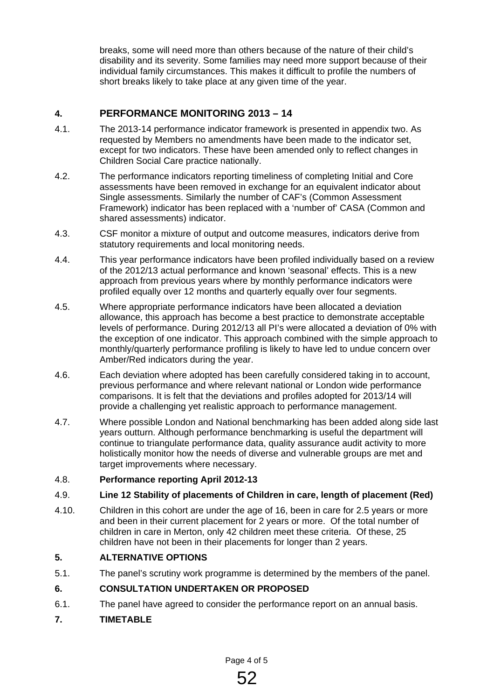breaks, some will need more than others because of the nature of their child's disability and its severity. Some families may need more support because of their individual family circumstances. This makes it difficult to profile the numbers of short breaks likely to take place at any given time of the year.

# **4. PERFORMANCE MONITORING 2013 – 14**

- 4.1. The 2013-14 performance indicator framework is presented in appendix two. As requested by Members no amendments have been made to the indicator set, except for two indicators. These have been amended only to reflect changes in Children Social Care practice nationally.
- 4.2. The performance indicators reporting timeliness of completing Initial and Core assessments have been removed in exchange for an equivalent indicator about Single assessments. Similarly the number of CAF's (Common Assessment Framework) indicator has been replaced with a 'number of' CASA (Common and shared assessments) indicator.
- 4.3. CSF monitor a mixture of output and outcome measures, indicators derive from statutory requirements and local monitoring needs.
- 4.4. This year performance indicators have been profiled individually based on a review of the 2012/13 actual performance and known 'seasonal' effects. This is a new approach from previous years where by monthly performance indicators were profiled equally over 12 months and quarterly equally over four segments.
- 4.5. Where appropriate performance indicators have been allocated a deviation allowance, this approach has become a best practice to demonstrate acceptable levels of performance. During 2012/13 all PI's were allocated a deviation of 0% with the exception of one indicator. This approach combined with the simple approach to monthly/quarterly performance profiling is likely to have led to undue concern over Amber/Red indicators during the year.
- 4.6. Each deviation where adopted has been carefully considered taking in to account, previous performance and where relevant national or London wide performance comparisons. It is felt that the deviations and profiles adopted for 2013/14 will provide a challenging yet realistic approach to performance management.
- 4.7. Where possible London and National benchmarking has been added along side last years outturn. Although performance benchmarking is useful the department will continue to triangulate performance data, quality assurance audit activity to more holistically monitor how the needs of diverse and vulnerable groups are met and target improvements where necessary.

## 4.8. **Performance reporting April 2012-13**

## 4.9. **Line 12 Stability of placements of Children in care, length of placement (Red)**

4.10. Children in this cohort are under the age of 16, been in care for 2.5 years or more and been in their current placement for 2 years or more. Of the total number of children in care in Merton, only 42 children meet these criteria. Of these, 25 children have not been in their placements for longer than 2 years.

## **5. ALTERNATIVE OPTIONS**

5.1. The panel's scrutiny work programme is determined by the members of the panel.

## **6. CONSULTATION UNDERTAKEN OR PROPOSED**

- 6.1. The panel have agreed to consider the performance report on an annual basis.
- **7. TIMETABLE**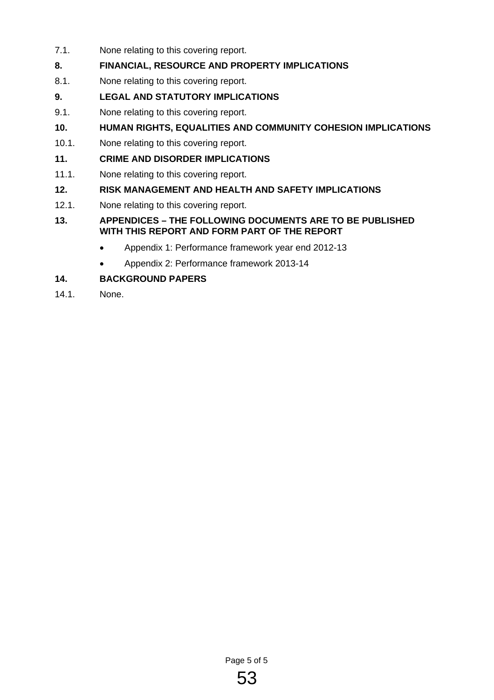7.1. None relating to this covering report.

# **8. FINANCIAL, RESOURCE AND PROPERTY IMPLICATIONS**

8.1. None relating to this covering report.

# **9. LEGAL AND STATUTORY IMPLICATIONS**

9.1. None relating to this covering report.

# **10. HUMAN RIGHTS, EQUALITIES AND COMMUNITY COHESION IMPLICATIONS**

10.1. None relating to this covering report.

# **11. CRIME AND DISORDER IMPLICATIONS**

11.1. None relating to this covering report.

# **12. RISK MANAGEMENT AND HEALTH AND SAFETY IMPLICATIONS**

12.1. None relating to this covering report.

## **13. APPENDICES – THE FOLLOWING DOCUMENTS ARE TO BE PUBLISHED WITH THIS REPORT AND FORM PART OF THE REPORT**

- Appendix 1: Performance framework year end 2012-13
- Appendix 2: Performance framework 2013-14

# **14. BACKGROUND PAPERS**

14.1. None.

Page 5 of 5

53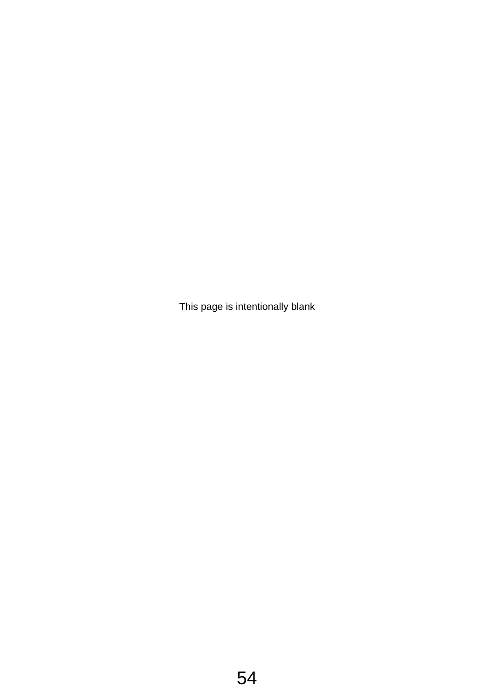This page is intentionally blank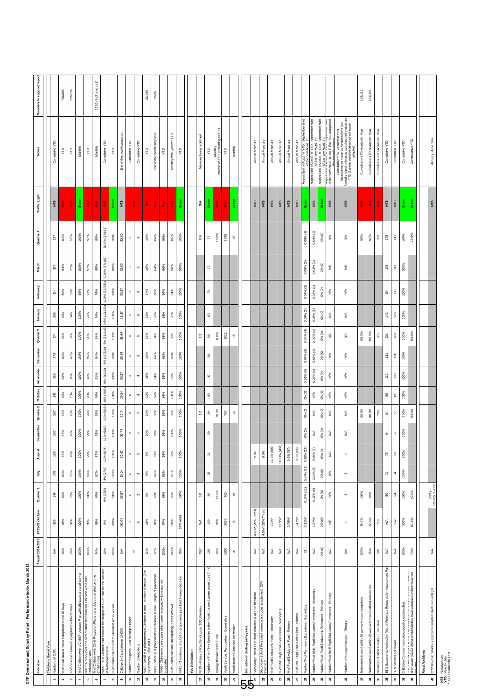**NTS** No target set<br>YTD Year to date<br>\* 10/11 Academic Year **NTS** No target set **YTD** Year to date

| CYP Overview and Scrutiny Panel - Performance Index March 2013                                                                                                                                                                                       |                              |                         |                           |                |                                      |                                 |                              |                      |                                 |               |                                                    |                         |     |                                              |                              |                                   |                                                                                                                                                                                                                                            |                           |
|------------------------------------------------------------------------------------------------------------------------------------------------------------------------------------------------------------------------------------------------------|------------------------------|-------------------------|---------------------------|----------------|--------------------------------------|---------------------------------|------------------------------|----------------------|---------------------------------|---------------|----------------------------------------------------|-------------------------|-----|----------------------------------------------|------------------------------|-----------------------------------|--------------------------------------------------------------------------------------------------------------------------------------------------------------------------------------------------------------------------------------------|---------------------------|
| Indicator                                                                                                                                                                                                                                            | Target 2012-2013             | 2011-12 Outturn         | Quarter 1                 | ξ              | August                               | September                       | Quarter 2                    | October              | November                        | December      | January<br>Quarter 3                               | February                |     | March                                        | Quarter 4                    | Traffic Light                     | Notes                                                                                                                                                                                                                                      | Numbers to support report |
| <b>Childrens Social Care</b>                                                                                                                                                                                                                         |                              |                         |                           |                |                                      |                                 |                              |                      |                                 |               |                                                    |                         |     |                                              |                              |                                   |                                                                                                                                                                                                                                            |                           |
| Numbers of CAFs<br>$\overline{a}$                                                                                                                                                                                                                    | $\stackrel{\triangle}{\geq}$ | 669                     | 145                       | 179            | 189                                  | 207                             | 207                          | 243                  | 269                             | 274           | 295<br>274                                         | 314                     | 327 |                                              | 327                          | NTS                               | Cumulative YTD                                                                                                                                                                                                                             |                           |
| % of initial assessments completed within 10 days<br>$\sim$                                                                                                                                                                                          | 90%                          | 63%                     | 81%                       | 85%            | 87%                                  | 87%                             | 87%                          | 85%                  | 82%                             | 83%           | 83%<br>83%                                         | 80%                     |     | 84%                                          | 84%                          | Red                               | ξ                                                                                                                                                                                                                                          | 739/885                   |
| % of core assessments completed within 35 days<br>$\bullet$                                                                                                                                                                                          | 80%                          | 58%                     | 71%                       | 77%            | 78%                                  | 76%                             | 76%                          | 73%                  | 70%                             | 67%           | 64%<br>67%                                         | 52%                     |     | 52%                                          | 52%                          | Red                               | ξ                                                                                                                                                                                                                                          | 279/536                   |
| $\blacktriangleleft$                                                                                                                                                                                                                                 | 100%                         | 100%                    | 100%                      | 100%           | 100%                                 | 100%                            | 100%                         | 100%                 | 100%                            | 100%          | 100%<br>100%                                       | $99\%$                  |     | 100%                                         | 100%                         | Green                             | Monthly                                                                                                                                                                                                                                    |                           |
| ю                                                                                                                                                                                                                                                    | 100%                         | $99\%$                  | 100%                      | $99\%$         | 99%                                  | $99\%$                          | $99\%$                       | 98%                  | 96%                             | $96\%$        | 97%<br>$96\%$                                      | 97%                     |     | 97%                                          | 97%                          | $\mathbb{R}^d$                    | È                                                                                                                                                                                                                                          |                           |
| 4 % of Children with a Child Protection Plan with allocated a social worker<br>5 Protection Plans<br>6 % of Children with Child Protection Plans visits due completed on time<br>6 % of Children with Child Protection Plans visits due<br>$\bullet$ | 94%                          | 93%                     | 99%                       | 97%            | 87%                                  | 93%                             | 93%                          | 96%                  | 91%                             | 84%           | 94%<br>84%                                         | 76%                     |     | 85%                                          | 85%                          | Red                               | Monthly                                                                                                                                                                                                                                    | 127/149 (2 x no visit)    |
| CP Plan for the Second<br>$\blacktriangleright$                                                                                                                                                                                                      | 10%                          | $8\%$                   | 6% (2/33)                 | 4% (2/56)      | 12% (9/74)                           | 11% (9/81)                      | 11% (9/81)                   | 10% (9/91)           | 8% (9/110)                      | 9% (11/118)   | $9.8\%$ (13/132)<br>9% (11/118)                    | 11.2% (16/143)          |     | 10.6% (17/161)                               | 10.6% (17/161)               | $\mathbf{Re}$                     | Cumulative YTD                                                                                                                                                                                                                             |                           |
| % of Children in Care with allocated social worker<br>$\infty$                                                                                                                                                                                       | 100%                         | 100%                    | 100%                      | 100%           | 100%                                 | 100%                            | 100%                         | 100%                 | 100%                            | 100%          | 100%<br>100%                                       | 100%                    |     | 100%                                         | 100%                         | Green                             | Ê                                                                                                                                                                                                                                          |                           |
| Children in Care rate per 10,000<br>თ                                                                                                                                                                                                                | $\lessgtr$                   | 30.04                   | 28.87                     | 30.04          | 30.97                                | 30.74                           | 30.74                        | 29.34                | 30.27                           | 28.64         | 28.87<br>28.64                                     | 30.27                   |     | 32.60                                        | 32.60                        | NTS                               | End of the month snapshot                                                                                                                                                                                                                  |                           |
| Number of Special Guardianship Orders<br>$\hat{\mathbf{r}}$                                                                                                                                                                                          |                              | $\boldsymbol{\infty}$   | $\circ$                   | $\circ$        | $\circ$                              | $\circ$                         | $\circ$                      | $\circ$              | $\circ$                         | $\circ$       | $\sim$<br>$\circ$                                  | $\mathfrak{S}$          |     | $\boldsymbol{\mathsf{\scriptstyle{\infty}}}$ | $\mathfrak{S}$               |                                   | Cumulative YTD                                                                                                                                                                                                                             |                           |
| Number of Adoptions<br>$\overline{\tau}$                                                                                                                                                                                                             | 57                           | $\circ$                 | $\boldsymbol{\sim}$       | $\mathfrak{S}$ | $\boldsymbol{\upsigma}$              | $\blacktriangleleft$            | $\blacktriangleleft$         | $\blacktriangleleft$ | $\blacktriangleleft$            | $\mathfrak o$ | Ю<br>$\mathfrak{g}$                                | LO                      |     | LO                                           | ю                            | Red                               | Cumulative YTD                                                                                                                                                                                                                             |                           |
| number of moves (3 or<br>$\tilde{\mathbf{u}}$                                                                                                                                                                                                        | 11%                          | 14%                     | 1%                        | $6\%$          | $9\%$                                | 10%                             | 10%                          | 12%                  | 14%                             | 15%           | 16%<br>15%                                         | 17%                     |     | 16%                                          | 16%                          | Red                               | Ê                                                                                                                                                                                                                                          | 22/140                    |
| length of placement<br>NI 62 - Stability of placements of Children in care -<br>more moves in the year)<br>NI 63 - Stability of placements of Children in care -<br>$\ddot{\mathbf{c}}$                                                              | 72%                          | 68%                     | 69%                       | 64%            | 67%                                  | 68%                             | 68%                          | 67%                  | 64%                             | 64%           | 66%<br>64%                                         | 66%                     |     | 64%                                          | 64%                          | $\mathbf{Re}$                     | End of the month snapshot                                                                                                                                                                                                                  | 23/36                     |
| V<br>M 66 - Children in care cases which were reviewed within required<br>timescales<br>$\frac{4}{5}$                                                                                                                                                | 100%                         | 97%                     | 98%                       | 98%            | 99%                                  | 99%                             | 99%                          | 98%                  | 99%                             | 98%           | 98%<br>98%                                         | 96%                     |     | 96%                                          | 96%                          | $\mathbb{R}^d$                    | F                                                                                                                                                                                                                                          |                           |
| % of Children in care participating in their reviews<br>15                                                                                                                                                                                           | 100%                         | 88%                     | 91%                       | 91%            | 83%                                  | 100%                            | 89%                          | 100%                 | 93%                             | 100%          | 90%<br>89%                                         | 84%                     |     | $90\%$                                       | 86%                          | Red                               | Monthly with Quarter YTD                                                                                                                                                                                                                   |                           |
| NI 61 - Timeliness of adoption placements post best interest decision<br>۴,                                                                                                                                                                          | 70%                          | 67% (6/9)               | 100%                      | 100%           | 100%                                 | 100%                            | 100%                         | 100%                 | 100%                            | 100%          | 100%<br>100%                                       | 100%                    |     | 100%                                         | 100%                         | Green                             | ĔБ                                                                                                                                                                                                                                         |                           |
| <b>Youth Inclusion</b>                                                                                                                                                                                                                               |                              |                         |                           |                |                                      |                                 |                              |                      |                                 |               |                                                    |                         |     |                                              |                              |                                   |                                                                                                                                                                                                                                            |                           |
| NI 19 - Rates of Re-offending per 100 offenders<br>17                                                                                                                                                                                                | TBC                          | $\lessgtr$              | $\frac{0}{1}$             |                |                                      |                                 | $\ddot{ }$ .                 |                      |                                 |               | $\ddot{ }$                                         |                         |     |                                              | 0.9                          | $\stackrel{\blacktriangle}{\geq}$ | Measure being redefined                                                                                                                                                                                                                    |                           |
| Number of First Time Entrants to the Youth Justice System (aged 10-17) - C<br>$\frac{8}{3}$                                                                                                                                                          | 125                          | 601                     | $\rm 20$                  | 25             | $\overline{\widetilde{\mathcal{C}}}$ | 39                              | 88                           | 42                   | $47$                            | 58            | යි<br>$\mathbb{S}^3$                               | $\mathcal{L}$           |     | 77                                           | $\overline{7}$               | Green                             | ξ                                                                                                                                                                                                                                          |                           |
| Young Offenders NEET rate<br><b>e</b>                                                                                                                                                                                                                | 10%                          | 10%                     | 13.5%                     |                |                                      |                                 | 16.7%                        |                      |                                 |               | 8.0%                                               |                         |     |                                              | 16.0%                        | $\overline{\text{Re}}$            | Monthly<br>Inverse of EET (assuming NEET)                                                                                                                                                                                                  |                           |
| Youth Service: Participation - Cumulative<br>$\mathbf{S}$                                                                                                                                                                                            | 1800                         | 2030                    | 460                       |                |                                      |                                 | 707                          |                      |                                 |               | 1011                                               |                         |     |                                              | 1798                         | Red                               | È                                                                                                                                                                                                                                          |                           |
| Youth Justice Caseload per worker<br>$\overline{\mathbf{z}}$                                                                                                                                                                                         | $\hbox{^{20}}$               | $15$                    | $\frac{5}{2}$             |                |                                      |                                 | $\dot{z}$                    |                      |                                 |               | $\frac{1}{2}$                                      |                         |     |                                              | $\frac{5}{2}$                | Green                             | Monthly                                                                                                                                                                                                                                    |                           |
| Education including early years                                                                                                                                                                                                                      |                              |                         |                           |                |                                      |                                 |                              |                      |                                 |               |                                                    |                         |     |                                              |                              |                                   |                                                                                                                                                                                                                                            |                           |
| Secondary School Persistent absence (LA) 15% threshold<br>し<br>これの                                                                                                                                                                                   | $\lessgtr$                   | 4.6%* (20% Thres)       |                           |                | 9.0%                                 |                                 |                              |                      |                                 |               |                                                    |                         |     |                                              |                              | ÎЯ                                | Annual Measure                                                                                                                                                                                                                             |                           |
| 15%<br>cademies),<br>Secondary School Persistent absence (includes ad<br>threshold<br>23                                                                                                                                                             |                              |                         |                           |                | 9.3%                                 |                                 |                              |                      |                                 |               |                                                    |                         |     |                                              |                              | NTS                               | Annual Measure                                                                                                                                                                                                                             |                           |
|                                                                                                                                                                                                                                                      | $\lessgtr$                   | 4.5%* (20% Thres)       |                           |                |                                      |                                 |                              |                      |                                 |               |                                                    |                         |     |                                              |                              |                                   |                                                                                                                                                                                                                                            |                           |
| % of Pupil Exclusions Fixed - Secondary<br>24                                                                                                                                                                                                        | $\stackrel{\triangle}{\geq}$ | 13%                     |                           |                | 11.5% (889)                          |                                 |                              |                      |                                 |               |                                                    |                         |     |                                              |                              | NТS                               | Annual Measure                                                                                                                                                                                                                             |                           |
| % of BME Pupil Exclusions Fixed - Secondary<br>25                                                                                                                                                                                                    | $\stackrel{\triangle}{\geq}$ | $12.9\%$ *              |                           |                | 10.14% (486)                         |                                 |                              |                      |                                 |               |                                                    |                         |     |                                              |                              | NTS                               | Annual Measure                                                                                                                                                                                                                             |                           |
| % of Pupil Exclusions Fixed - Primary<br>$\mathbf{26}$                                                                                                                                                                                               | $\lessgtr$                   | $0.79\%$ *              |                           |                | $0.6\%$ (87)                         |                                 |                              |                      |                                 |               |                                                    |                         |     |                                              |                              | NTS                               | Annual Measure                                                                                                                                                                                                                             |                           |
| % of BME Pupil Exclusions Fixed - Primary<br>$\mathbf{z}$                                                                                                                                                                                            | $\stackrel{\triangle}{\geq}$ | $0.47\%$ *              |                           |                | $0.6\%$ (56)                         |                                 |                              |                      |                                 |               |                                                    |                         |     |                                              |                              | NТS                               | Annual Measure                                                                                                                                                                                                                             |                           |
| Number/% of Permanent Exclusions - Secondary<br>$\mathbf{^{28}}$                                                                                                                                                                                     | $\frac{1}{2}$                | $0.31\%$ *              | $0.14\%$ (11)             | 0.14%(11)      | $0.16\%$ (12)                        | $0\%$ $(0)$                     | $0\%$ (0)                    | 0% (0)               | 0.04%(3)                        | $0.04%$ (3)   | $0.04\%$ (3)<br>$0.04\%$ (3)                       | $0.04%$ (3)             |     | $0.09\%$ (6)                                 | $0.09%$ (6)                  | Green                             |                                                                                                                                                                                                                                            |                           |
| Number/% of BME Pupil Exclusions Permanent - Secondary<br>$\mathbf{g}$                                                                                                                                                                               | $\lessgtr$                   | $0.27\%$ *              | 0.13% (6)                 | $0.13%$ (6)    | 0.15% (7)                            | $\stackrel{\triangle}{\geq}$    | $\stackrel{\triangle}{\geq}$ | $\lessgtr$           | 0.02%(1)                        | $0.02\%$ (1)  | $0.02\%$ (1)<br>$0.02\%$ (1)                       | 0.02%(1)                |     | 0.04% (2)                                    | 0.04% (2)                    | NTS                               |                                                                                                                                                                                                                                            |                           |
| Number/% of Pupil Exclusions Permanent - Primary<br>$\mathbf{s}$                                                                                                                                                                                     | 0% (0)                       | $0\% (0)^*$             | 0% (0)                    | 0% (0)         | $0\%$ $(0)$                          | 0% (0)                          | 0% (0)                       | 0% (0)               | $0\%$ $(0)$                     | 0% (0)        | $0\%$ (0)<br>$0\%$ (0)                             | $0\%$ (0)               |     | $0\%$ (0)                                    | 0% (0)                       | Green                             |                                                                                                                                                                                                                                            |                           |
| Number/% of BME Pupil Exclusions Permanent - Primary<br>$\overline{\kappa}$                                                                                                                                                                          | $\stackrel{\leq}{\geq}$      | $\lessgtr$              | $\lessgtr$                | $\lessgtr$     | $\lessgtr$                           | $\lessgtr$                      | $\lessgtr$                   | $\lessgtr$           | $\stackrel{\textstyle <}{\geq}$ | $\lessgtr$    | $\lessgtr$<br>$\lessgtr$                           | $\lessapprox$           |     | $\lessapprox$                                | $\lessgtr$                   | kц                                | August End of Acad. Yr YTD. September start<br>August End of Acad. Yr YTD. September start<br>August End of Acad. Yr YTD. September start<br>August End of Acad. Yr YTD. September start<br>August End of Acad. Yr No P. Excl. has complet |                           |
| Number of managed moves - Primary<br>$\boldsymbol{\mathsf{32}}$                                                                                                                                                                                      | $\lessgtr$                   | $\overline{\mathbf{A}}$ | 4                         | 4              | 4                                    | $\stackrel{\textstyle <}{\geq}$ | $\lessgtr$                   | $\lessgtr$           | $\stackrel{\textstyle<}{\ge}$   | $\lessgtr$    | $\stackrel{\leq}{\geq}$<br>$\stackrel{\leq}{\geq}$ | $\stackrel{\leq}{\geq}$ |     | $\stackrel{\leq}{\geq}$                      | $\stackrel{\triangle}{\geq}$ | NTS                               | Cumulative YTD Academic Year<br>Arrangements made by headteachers not<br>formally noted unless as avoidance of exclusions<br>YTD 2 under coated                                                                                            |                           |
| Statements issued within 26 weeks without exceptions<br>33                                                                                                                                                                                           | 100%                         | 86.7%                   | 100%                      |                |                                      |                                 | 98.0%                        |                      |                                 |               | 98.0%                                              |                         |     |                                              | 98%                          | Red <sub>.</sub>                  | Cumulative YTD Academic Year                                                                                                                                                                                                               | 118/121                   |
| Statements issued within 26 weeks with and without exceptions<br>$\boldsymbol{z}$                                                                                                                                                                    | 95%                          | 82.6%                   | 91%                       |                |                                      |                                 | 90.0%                        |                      |                                 |               | 92.0%                                              |                         |     |                                              | 92%                          | <b>Red</b>                        | Cumulative YTD Academic Year                                                                                                                                                                                                               | 131/143                   |
| Provision of Short Breaks - cumulative<br>35                                                                                                                                                                                                         | 520                          | 519                     |                           |                |                                      |                                 | 290                          |                      |                                 |               | 325                                                |                         |     |                                              | 363                          | Red                               | Cumulative YTD Academic Year                                                                                                                                                                                                               |                           |
| SEN Statements Applied for (No. of Referrals Received for Assessment Par<br>$\bf s$                                                                                                                                                                  | $\stackrel{\triangle}{\geq}$ | $\stackrel{\leq}{\geq}$ | ${\tt S}0$                | 7              | 76                                   | $\frac{8}{4}$                   | 24                           | 8                    | 112                             | $\frac{5}{2}$ | 142<br>$\frac{131}{2}$                             | 154                     |     | 175                                          | 175                          | YГS                               | Cumulative YTD                                                                                                                                                                                                                             |                           |
| SEN Statements Issued<br>$\overline{\mathfrak{s}}$                                                                                                                                                                                                   | $\widetilde{\mathbb{Y}}$     | 132                     | $\mathfrak F$             | 54             | 59                                   | 77                              | $\overline{z}$               | 85                   | 103                             | 120           | 126<br>120                                         | 135                     |     | 141                                          | 141                          | NTS                               | Cumulative YTD                                                                                                                                                                                                                             |                           |
| $\overline{\phantom{a}}$                                                                                                                                                                                                                             | 100%                         | 100%                    | 100%                      | 100%           | 100%                                 | 100%                            | 100%                         | 100%                 | 100%                            | 100%          | 100%<br>100%                                       | 100%                    |     | 100%                                         | 100%                         | Green                             | Cumulative YTD                                                                                                                                                                                                                             |                           |
| Childrens Centres Inspections good or outstanding<br>איסטרומפוסיים אפשר שמותפשט ארכאות ופשות המשפט באופן הייסטומפוסים והסור מופשט טו<br>deprivation (IDACI 30%) whose families have accessed children's centre<br>39                                 | 73%                          | 67.8%                   | 40.5%                     |                |                                      |                                 | 54.1%                        |                      |                                 |               | 64.9%                                              |                         |     |                                              | 73.9%                        | Green                             | Cummulative YTD                                                                                                                                                                                                                            |                           |
| <b>Road Accidents</b>                                                                                                                                                                                                                                |                              |                         |                           |                |                                      |                                 |                              |                      |                                 |               |                                                    |                         |     |                                              |                              |                                   |                                                                                                                                                                                                                                            |                           |
|                                                                                                                                                                                                                                                      |                              |                         | 0/2/19<br>January to June |                |                                      |                                 |                              |                      |                                 |               |                                                    |                         |     |                                              |                              | NTS                               |                                                                                                                                                                                                                                            |                           |
| CYP Road accidents - reported incidents Fatal/Serious/Slight<br>$\frac{1}{2}$                                                                                                                                                                        | $\lessgtr$                   |                         |                           |                |                                      |                                 |                              |                      |                                 |               |                                                    |                         |     |                                              |                              |                                   | January -June data                                                                                                                                                                                                                         |                           |

\* 10/11 Academic Year